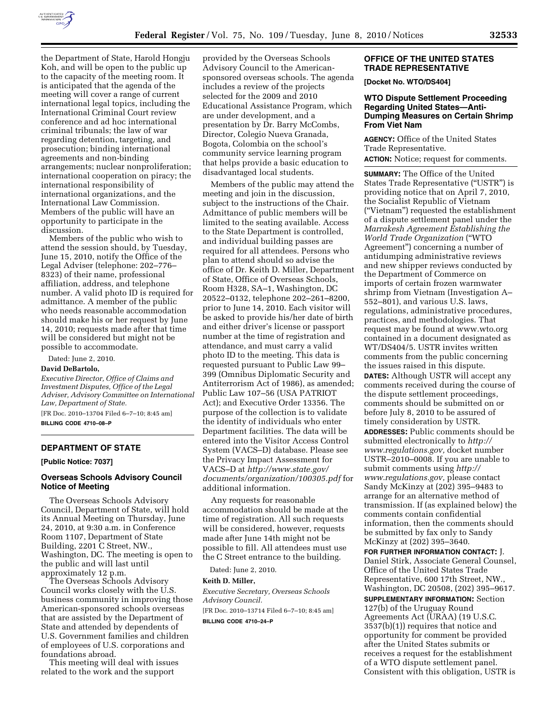

the Department of State, Harold Hongju Koh, and will be open to the public up to the capacity of the meeting room. It is anticipated that the agenda of the meeting will cover a range of current international legal topics, including the International Criminal Court review conference and ad hoc international criminal tribunals; the law of war regarding detention, targeting, and prosecution; binding international agreements and non-binding arrangements; nuclear nonproliferation; international cooperation on piracy; the international responsibility of international organizations, and the International Law Commission. Members of the public will have an opportunity to participate in the discussion.

Members of the public who wish to attend the session should, by Tuesday, June 15, 2010, notify the Office of the Legal Adviser (telephone: 202–776– 8323) of their name, professional affiliation, address, and telephone number. A valid photo ID is required for admittance. A member of the public who needs reasonable accommodation should make his or her request by June 14, 2010; requests made after that time will be considered but might not be possible to accommodate.

Dated: June 2, 2010.

#### **David DeBartolo,**

*Executive Director, Office of Claims and Investment Disputes, Office of the Legal Adviser, Advisory Committee on International Law, Department of State.* 

[FR Doc. 2010–13704 Filed 6–7–10; 8:45 am] **BILLING CODE 4710–08–P** 

# **DEPARTMENT OF STATE**

**[Public Notice: 7037]** 

### **Overseas Schools Advisory Council Notice of Meeting**

The Overseas Schools Advisory Council, Department of State, will hold its Annual Meeting on Thursday, June 24, 2010, at 9:30 a.m. in Conference Room 1107, Department of State Building, 2201 C Street, NW., Washington, DC. The meeting is open to the public and will last until approximately 12 p.m.

The Overseas Schools Advisory Council works closely with the U.S. business community in improving those American-sponsored schools overseas that are assisted by the Department of State and attended by dependents of U.S. Government families and children of employees of U.S. corporations and foundations abroad.

This meeting will deal with issues related to the work and the support

provided by the Overseas Schools Advisory Council to the Americansponsored overseas schools. The agenda includes a review of the projects selected for the 2009 and 2010 Educational Assistance Program, which are under development, and a presentation by Dr. Barry McCombs, Director, Colegio Nueva Granada, Bogota, Colombia on the school's community service learning program that helps provide a basic education to disadvantaged local students.

Members of the public may attend the meeting and join in the discussion, subject to the instructions of the Chair. Admittance of public members will be limited to the seating available. Access to the State Department is controlled, and individual building passes are required for all attendees. Persons who plan to attend should so advise the office of Dr. Keith D. Miller, Department of State, Office of Overseas Schools, Room H328, SA–1, Washington, DC 20522–0132, telephone 202–261–8200, prior to June 14, 2010. Each visitor will be asked to provide his/her date of birth and either driver's license or passport number at the time of registration and attendance, and must carry a valid photo ID to the meeting. This data is requested pursuant to Public Law 99– 399 (Omnibus Diplomatic Security and Antiterrorism Act of 1986), as amended; Public Law 107–56 (USA PATRIOT Act); and Executive Order 13356. The purpose of the collection is to validate the identity of individuals who enter Department facilities. The data will be entered into the Visitor Access Control System (VACS–D) database. Please see the Privacy Impact Assessment for VACS–D at *http://www.state.gov/ documents/organization/100305.pdf* for additional information.

Any requests for reasonable accommodation should be made at the time of registration. All such requests will be considered, however, requests made after June 14th might not be possible to fill. All attendees must use the C Street entrance to the building.

Dated: June 2, 2010.

### **Keith D. Miller,**

*Executive Secretary, Overseas Schools Advisory Council.* 

[FR Doc. 2010–13714 Filed 6–7–10; 8:45 am] **BILLING CODE 4710–24–P** 

## **OFFICE OF THE UNITED STATES TRADE REPRESENTATIVE**

**[Docket No. WTO/DS404]** 

## **WTO Dispute Settlement Proceeding Regarding United States—Anti-Dumping Measures on Certain Shrimp From Viet Nam**

**AGENCY:** Office of the United States Trade Representative. **ACTION:** Notice; request for comments.

**SUMMARY:** The Office of the United States Trade Representative (''USTR'') is providing notice that on April 7, 2010, the Socialist Republic of Vietnam (''Vietnam'') requested the establishment of a dispute settlement panel under the *Marrakesh Agreement Establishing the World Trade Organization* (''WTO Agreement'') concerning a number of antidumping administrative reviews and new shipper reviews conducted by the Department of Commerce on imports of certain frozen warmwater shrimp from Vietnam (Investigation A– 552–801), and various U.S. laws, regulations, administrative procedures, practices, and methodologies. That request may be found at www.wto.org contained in a document designated as WT/DS404/5. USTR invites written comments from the public concerning the issues raised in this dispute. **DATES:** Although USTR will accept any comments received during the course of the dispute settlement proceedings, comments should be submitted on or before July 8, 2010 to be assured of timely consideration by USTR. **ADDRESSES:** Public comments should be submitted electronically to *http:// www.regulations.gov,* docket number USTR–2010–0008. If you are unable to submit comments using *http:// www.regulations.gov,* please contact Sandy McKinzy at (202) 395–9483 to arrange for an alternative method of transmission. If (as explained below) the comments contain confidential information, then the comments should be submitted by fax only to Sandy McKinzy at (202) 395–3640.

**FOR FURTHER INFORMATION CONTACT:** J. Daniel Stirk, Associate General Counsel, Office of the United States Trade Representative, 600 17th Street, NW., Washington, DC 20508, (202) 395–9617.

**SUPPLEMENTARY INFORMATION:** Section 127(b) of the Uruguay Round Agreements Act (URAA) (19 U.S.C. 3537(b)(1)) requires that notice and opportunity for comment be provided after the United States submits or receives a request for the establishment of a WTO dispute settlement panel. Consistent with this obligation, USTR is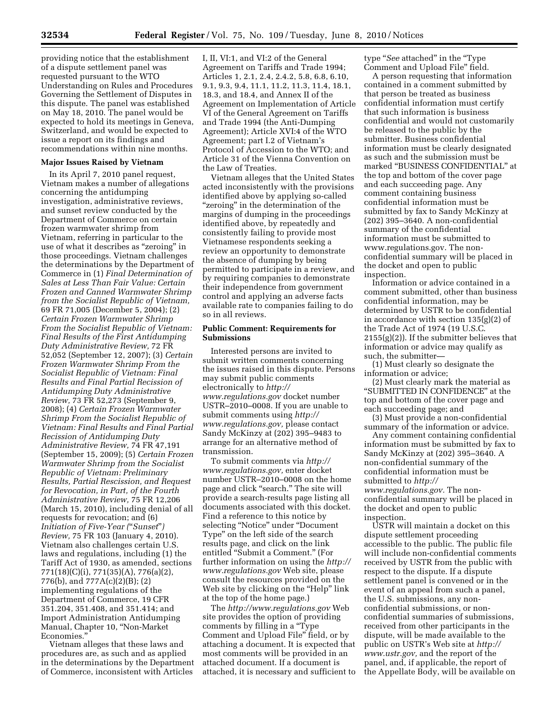providing notice that the establishment of a dispute settlement panel was requested pursuant to the WTO Understanding on Rules and Procedures Governing the Settlement of Disputes in this dispute. The panel was established on May 18, 2010. The panel would be expected to hold its meetings in Geneva, Switzerland, and would be expected to issue a report on its findings and recommendations within nine months.

### **Major Issues Raised by Vietnam**

In its April 7, 2010 panel request, Vietnam makes a number of allegations concerning the antidumping investigation, administrative reviews, and sunset review conducted by the Department of Commerce on certain frozen warmwater shrimp from Vietnam, referring in particular to the use of what it describes as ''zeroing'' in those proceedings. Vietnam challenges the determinations by the Department of Commerce in (1) *Final Determination of Sales at Less Than Fair Value: Certain Frozen and Canned Warmwater Shrimp from the Socialist Republic of Vietnam,*  69 FR 71,005 (December 5, 2004); (2) *Certain Frozen Warmwater Shrimp From the Socialist Republic of Vietnam: Final Results of the First Antidumping Duty Administrative Review,* 72 FR 52,052 (September 12, 2007); (3) *Certain Frozen Warmwater Shrimp From the Socialist Republic of Vietnam: Final Results and Final Partial Recission of Antidumping Duty Administrative Review,* 73 FR 52,273 (September 9, 2008); (4) *Certain Frozen Warmwater Shrimp From the Socialist Republic of Vietnam: Final Results and Final Partial Recission of Antidumping Duty Administrative Review,* 74 FR 47,191 (September 15, 2009); (5) *Certain Frozen Warmwater Shrimp from the Socialist Republic of Vietnam: Preliminary Results, Partial Rescission, and Request for Revocation, in Part, of the Fourth Administrative Review,* 75 FR 12,206 (March 15, 2010), including denial of all requests for revocation; and (6) *Initiation of Five-Year (*''*Sunset*''*) Review,* 75 FR 103 (January 4, 2010). Vietnam also challenges certain U.S. laws and regulations, including (1) the Tariff Act of 1930, as amended, sections 771(18)(C)(i), 771(35)(A), 776(a)(2), 776(b), and 777A(c)(2)(B); (2) implementing regulations of the Department of Commerce, 19 CFR 351.204, 351.408, and 351.414; and Import Administration Antidumping Manual, Chapter 10, ''Non-Market Economies.

Vietnam alleges that these laws and procedures are, as such and as applied in the determinations by the Department of Commerce, inconsistent with Articles

I, II, VI:1, and VI:2 of the General Agreement on Tariffs and Trade 1994; Articles 1, 2.1, 2.4, 2.4.2, 5.8, 6.8, 6.10, 9.1, 9.3, 9.4, 11.1, 11.2, 11.3, 11.4, 18.1, 18.3, and 18.4, and Annex II of the Agreement on Implementation of Article VI of the General Agreement on Tariffs and Trade 1994 (the Anti-Dumping Agreement); Article XVI:4 of the WTO Agreement; part I.2 of Vietnam's Protocol of Accession to the WTO; and Article 31 of the Vienna Convention on the Law of Treaties.

Vietnam alleges that the United States acted inconsistently with the provisions identified above by applying so-called "zeroing" in the determination of the margins of dumping in the proceedings identified above, by repeatedly and consistently failing to provide most Vietnamese respondents seeking a review an opportunity to demonstrate the absence of dumping by being permitted to participate in a review, and by requiring companies to demonstrate their independence from government control and applying an adverse facts available rate to companies failing to do so in all reviews.

### **Public Comment: Requirements for Submissions**

Interested persons are invited to submit written comments concerning the issues raised in this dispute. Persons may submit public comments electronically to *http:// www.regulations.gov* docket number USTR–2010–0008. If you are unable to submit comments using *http:// www.regulations.gov,* please contact Sandy McKinzy at (202) 395–9483 to arrange for an alternative method of transmission.

To submit comments via *http:// www.regulations.gov,* enter docket number USTR–2010–0008 on the home page and click ''search.'' The site will provide a search-results page listing all documents associated with this docket. Find a reference to this notice by selecting ''Notice'' under ''Document Type'' on the left side of the search results page, and click on the link entitled ''Submit a Comment.'' (For further information on using the *http:// www.regulations.gov* Web site, please consult the resources provided on the Web site by clicking on the "Help" link at the top of the home page.)

The *http://www.regulations.gov* Web site provides the option of providing comments by filling in a ''Type Comment and Upload File'' field, or by attaching a document. It is expected that most comments will be provided in an attached document. If a document is attached, it is necessary and sufficient to type ''*See* attached'' in the ''Type Comment and Upload File'' field.

A person requesting that information contained in a comment submitted by that person be treated as business confidential information must certify that such information is business confidential and would not customarily be released to the public by the submitter. Business confidential information must be clearly designated as such and the submission must be marked ''BUSINESS CONFIDENTIAL'' at the top and bottom of the cover page and each succeeding page. Any comment containing business confidential information must be submitted by fax to Sandy McKinzy at (202) 395–3640. A non-confidential summary of the confidential information must be submitted to www.regulations.gov. The nonconfidential summary will be placed in the docket and open to public inspection.

Information or advice contained in a comment submitted, other than business confidential information, may be determined by USTR to be confidential in accordance with section 135(g)(2) of the Trade Act of 1974 (19 U.S.C.  $2155(g)(2)$ ). If the submitter believes that information or advice may qualify as such, the submitter—

(1) Must clearly so designate the information or advice;

(2) Must clearly mark the material as ''SUBMITTED IN CONFIDENCE'' at the top and bottom of the cover page and each succeeding page; and

(3) Must provide a non-confidential summary of the information or advice.

Any comment containing confidential information must be submitted by fax to Sandy McKinzy at (202) 395–3640. A non-confidential summary of the confidential information must be submitted to *http:// www.regulations.gov.* The nonconfidential summary will be placed in the docket and open to public inspection.

USTR will maintain a docket on this dispute settlement proceeding accessible to the public. The public file will include non-confidential comments received by USTR from the public with respect to the dispute. If a dispute settlement panel is convened or in the event of an appeal from such a panel, the U.S. submissions, any nonconfidential submissions, or nonconfidential summaries of submissions, received from other participants in the dispute, will be made available to the public on USTR's Web site at *http:// www.ustr.gov,* and the report of the panel, and, if applicable, the report of the Appellate Body, will be available on